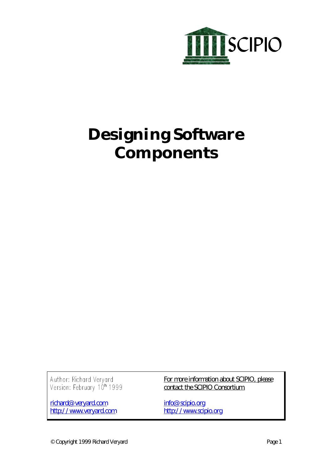

# **Designing Software Components**

Author: Richard Veryard<br>Version: February 10<sup>h</sup> 1999

richard@veryard.com http://www.veryard.com For more information about SCIPIO, please contact the SCIPIO Consortium.

info@scipio.org http://www.scipio.org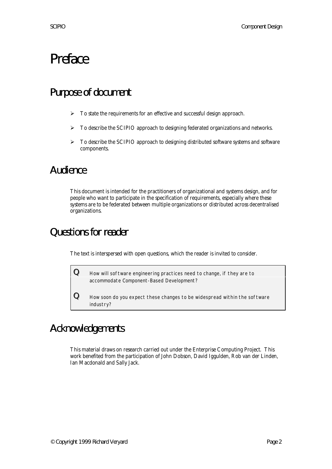## Preface

### Purpose of document

- $\triangleright$  To state the requirements for an effective and successful design approach.
- $\triangleright$  To describe the SCIPIO approach to designing federated organizations and networks.
- $\triangleright$  To describe the SCIPIO approach to designing distributed software systems and software components.

### Audience

This document is intended for the practitioners of organizational and systems design, and for people who want to participate in the specification of requirements, especially where these systems are to be federated between multiple organizations or distributed across decentralised organizations.

## Questions for reader

The text is interspersed with open questions, which the reader is invited to consider.

 $\bf Q$  How will software engineering practices need to change, if they are to accommodate Component-Based Development?

 $\bf{Q}$  How soon do you expect these changes to be widespread within the software industry?

## Acknowledgements

This material draws on research carried out under the Enterprise Computing Project. This work benefited from the participation of John Dobson, David Iggulden, Rob van der Linden, Ian Macdonald and Sally Jack.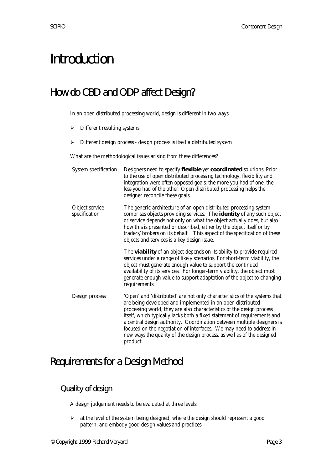## Introduction

## How do CBD and ODP affect Design?

In an open distributed processing world, design is different in two ways:

- $\triangleright$  Different resulting systems
- > Different design process design process is itself a distributed system

What are the methodological issues arising from these differences?

| System specification            | Designers need to specify flexible yet coordinated solutions. Prior<br>to the use of open distributed processing technology, flexibility and<br>integration were often opposed goals: the more you had of one, the<br>less you had of the other. Open distributed processing helps the<br>designer reconcile these goals.                                                                                                                                                                                                           |
|---------------------------------|-------------------------------------------------------------------------------------------------------------------------------------------------------------------------------------------------------------------------------------------------------------------------------------------------------------------------------------------------------------------------------------------------------------------------------------------------------------------------------------------------------------------------------------|
| Object service<br>specification | The generic architecture of an open distributed processing system<br>comprises objects providing services. The <i>identity</i> of any such object<br>or service depends not only on what the object actually does, but also<br>how this is presented or described, either by the object itself or by<br>traders/brokers on its behalf. This aspect of the specification of these<br>objects and services is a key design issue.                                                                                                     |
|                                 | The <b>viability</b> of an object depends on its ability to provide required<br>services under a range of likely scenarios. For short-term viability, the<br>object must generate enough value to support the continued<br>availability of its services. For longer-term viability, the object must<br>generate enough value to support adaptation of the object to changing<br>requirements.                                                                                                                                       |
| Design process                  | 'Open' and 'distributed' are not only characteristics of the systems that<br>are being developed and implemented in an open distributed<br>processing world, they are also characteristics of the design process<br>itself, which typically lacks both a fixed statement of requirements and<br>a central design authority. Coordination between multiple designers is<br>focused on the negotiation of interfaces. We may need to address in<br>new ways the quality of the design process, as well as of the designed<br>product. |

### Requirements for a Design Method

#### Quality of design

A design judgement needs to be evaluated at three levels:

 $\geq$  at the level of the system being designed, where the design should represent a good pattern, and embody good design values and practices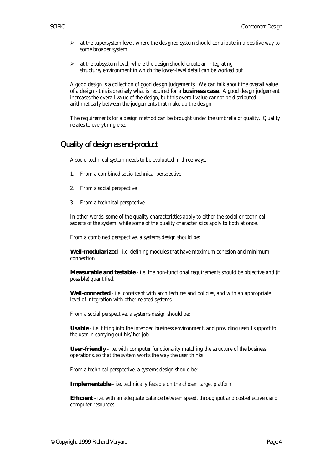- $\triangleright$  at the supersystem level, where the designed system should contribute in a positive way to some broader system
- $\triangleright$  at the subsystem level, where the design should create an integrating structure/environment in which the lower-level detail can be worked out

A good design is a collection of good design judgements. We can talk about the overall value of a design - this is precisely what is required for a **business case**. A good design judgement increases the overall value of the design, but this overall value cannot be distributed arithmetically between the judgements that make up the design.

The requirements for a design method can be brought under the umbrella of quality. Quality relates to everything else.

#### Quality of design as end-product

A socio-technical system needs to be evaluated in three ways:

- 1. From a combined socio-technical perspective
- 2. From a social perspective
- 3. From a technical perspective

In other words, some of the quality characteristics apply to either the social or technical aspects of the system, while some of the quality characteristics apply to both at once.

From a combined perspective, a systems design should be:

**Well-modularized** - i.e. defining modules that have maximum cohesion and minimum connection

**Measurable and testable** - i.e. the non-functional requirements should be objective and (if possible) quantified.

**Well-connected** - i.e. consistent with architectures and policies, and with an appropriate level of integration with other related systems

From a social perspective, a systems design should be:

**Usable** - i.e. fitting into the intended business environment, and providing useful support to the user in carrying out his/her job

**User-friendly** - i.e. with computer functionality matching the structure of the business operations, so that the system works the way the user thinks

From a technical perspective, a systems design should be:

**Implementable** - i.e. technically feasible on the chosen target platform

**Efficient** - i.e. with an adequate balance between speed, throughput and cost-effective use of computer resources.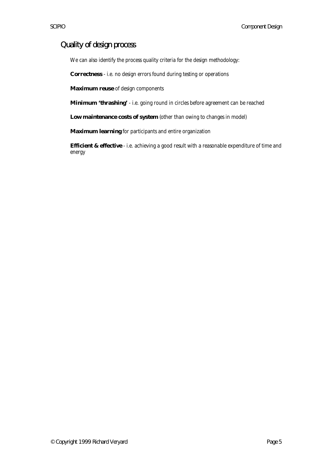#### Quality of design process

We can also identify the process quality criteria for the design methodology:

**Correctness** - i.e. no design errors found during testing or operations

**Maximum reuse** of design components

**Minimum 'thrashing'** - i.e. going round in circles before agreement can be reached

**Low maintenance costs of system** (other than owing to changes in model)

**Maximum learning** for participants and entire organization

**Efficient & effective** - i.e. achieving a good result with a reasonable expenditure of time and energy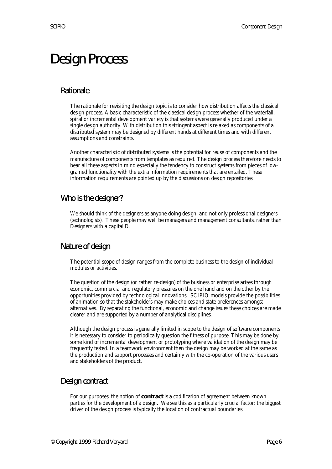## Design Process

#### Rationale

The rationale for revisiting the design topic is to consider how distribution affects the classical design process. A basic characteristic of the classical design process whether of the waterfall, spiral or incremental development variety is that systems were generally produced under a single design authority. With distribution this stringent aspect is relaxed as components of a distributed system may be designed by different hands at different times and with different assumptions and constraints.

Another characteristic of distributed systems is the potential for reuse of components and the manufacture of components from templates as required. The design process therefore needs to bear all these aspects in mind especially the tendency to construct systems from pieces of lowgrained functionality with the extra information requirements that are entailed. These information requirements are pointed up by the discussions on design repositories

#### Who is the designer?

We should think of the designers as anyone doing design, and not only professional designers (technologists). These people may well be managers and management consultants, rather than Designers with a capital D.

#### Nature of design

The potential scope of design ranges from the complete business to the design of individual modules or activities.

The question of the design (or rather re-design) of the business or enterprise arises through economic, commercial and regulatory pressures on the one hand and on the other by the opportunities provided by technological innovations. SCIPIO models provide the possibilities of animation so that the stakeholders may make choices and state preferences amongst alternatives. By separating the functional, economic and change issues these choices are made clearer and are supported by a number of analytical disciplines.

Although the design process is generally limited in scope to the design of software components it is necessary to consider to periodically question the fitness of purpose. This may be done by some kind of incremental development or prototyping where validation of the design may be frequently tested. In a teamwork environment then the design may be worked at the same as the production and support processes and certainly with the co-operation of the various users and stakeholders of the product.

#### Design contract

For our purposes, the notion of **contract** is a codification of agreement between known parties for the development of a design. We see this as a particularly crucial factor: the biggest driver of the design process is typically the location of contractual boundaries.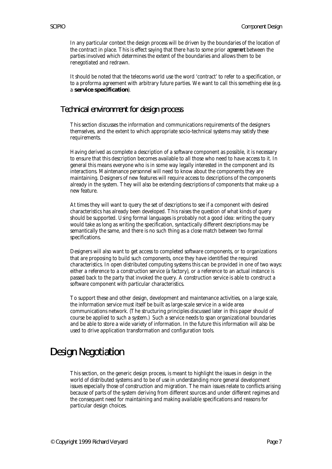In any particular context the design process will be driven by the boundaries of the location of the contract in place. This is effect saying that there has to some prior *agreement* between the parties involved which determines the extent of the boundaries and allows them to be renegotiated and redrawn.

It should be noted that the telecoms world use the word 'contract' to refer to a specification, or to a proforma agreement with arbitrary future parties. We want to call this something else (e.g. a **service specification**).

#### Technical environment for design process

This section discusses the information and communications requirements of the designers themselves, and the extent to which appropriate socio-technical systems may satisfy these requirements.

Having derived as complete a description of a software component as possible, it is necessary to ensure that this description becomes available to all those who need to have access to it. In general this means everyone who is in some way legally interested in the component and its interactions. Maintenance personnel will need to know about the components they are maintaining. Designers of new features will require access to descriptions of the components already in the system. They will also be extending descriptions of components that make up a new feature.

At times they will want to query the set of descriptions to see if a component with desired characteristics has already been developed. This raises the question of what kinds of query should be supported. Using formal languages is probably not a good idea: writing the query would take as long as writing the specification, syntactically different descriptions may be semantically the same, and there is no such thing as a close match between two formal specifications.

Designers will also want to get access to completed software components, or to organizations that are proposing to build such components, once they have identified the required characteristics. In open distributed computing systems this can be provided in one of two ways: either a reference to a construction service (a factory), or a reference to an actual instance is passed back to the party that invoked the query. A construction service is able to construct a software component with particular characteristics.

To support these and other design, development and maintenance activities, on a large scale, the information service must itself be built as large-scale service in a wide area communications network. (The structuring principles discussed later in this paper should of course be applied to such a system.) Such a service needs to span organizational boundaries and be able to store a wide variety of information. In the future this information will also be used to drive application transformation and configuration tools.

## Design Negotiation

This section, on the generic design process, is meant to highlight the issues in design in the world of distributed systems and to be of use in understanding more general development issues especially those of construction and migration. The main issues relate to conflicts arising because of parts of the system deriving from different sources and under different regimes and the consequent need for maintaining and making available specifications and reasons for particular design choices.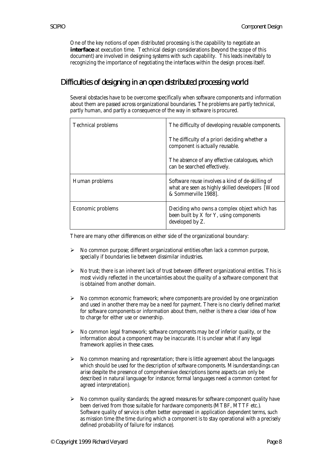One of the key notions of open distributed processing is the capability to negotiate an **interface** at execution time. Technical design considerations (beyond the scope of this document) are involved in designing systems with such capability. This leads inevitably to recognizing the importance of negotiating the interfaces within the design process itself.

#### Difficulties of designing in an open distributed processing world

Several obstacles have to be overcome specifically when software components and information about them are passed across organizational boundaries. The problems are partly technical, partly human, and partly a consequence of the way in software is procured.

| <b>Technical problems</b> | The difficulty of developing reusable components.                                                                            |
|---------------------------|------------------------------------------------------------------------------------------------------------------------------|
|                           | The difficulty of a priori deciding whether a<br>component is actually reusable.                                             |
|                           | The absence of any effective catalogues, which<br>can be searched effectively.                                               |
| Human problems            | Software reuse involves a kind of de-skilling of<br>what are seen as highly skilled developers [Wood<br>& Sommerville 1988]. |
| Economic problems         | Deciding who owns a complex object which has<br>been built by X for Y, using components<br>developed by Z.                   |

There are many other differences on either side of the organizational boundary:

- $\triangleright$  No common purpose; different organizational entities often lack a common purpose, specially if boundaries lie between dissimilar industries.
- $\triangleright$  No trust; there is an inherent lack of trust between different organizational entities. This is most vividly reflected in the uncertainties about the quality of a software component that is obtained from another domain.
- $\triangleright$  No common economic framework; where components are provided by one organization and used in another there may be a need for payment. There is no clearly defined market for software components or information about them, neither is there a clear idea of how to charge for either use or ownership.
- $\triangleright$  No common legal framework; software components may be of inferior quality, or the information about a component may be inaccurate. It is unclear what if any legal framework applies in these cases.
- $\triangleright$  No common meaning and representation; there is little agreement about the languages which should be used for the description of software components. Misunderstandings can arise despite the presence of comprehensive descriptions (some aspects can only be described in natural language for instance; formal languages need a common context for agreed interpretation).
- $\triangleright$  No common quality standards; the agreed measures for software component quality have been derived from those suitable for hardware components (MTBF, MTTF etc.). Software quality of service is often better expressed in application dependent terms, such as mission time (the time during which a component is to stay operational with a precisely defined probability of failure for instance).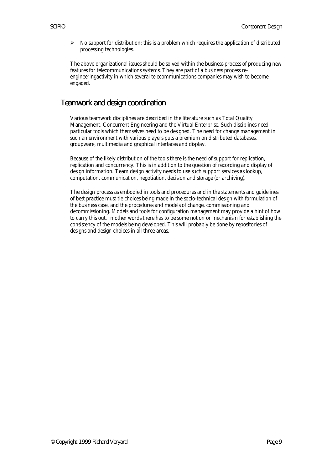$\triangleright$  No support for distribution; this is a problem which requires the application of distributed processing technologies.

The above organizational issues should be solved within the business process of producing new features for telecommunications systems. They are part of a business process reengineeringactivity in which several telecommunications companies may wish to become engaged.

#### Teamwork and design coordination

Various teamwork disciplines are described in the literature such as Total Quality Management, Concurrent Engineering and the Virtual Enterprise. Such disciplines need particular tools which themselves need to be designed. The need for change management in such an environment with various players puts a premium on distributed databases, groupware, multimedia and graphical interfaces and display.

Because of the likely distribution of the tools there is the need of support for replication, replication and concurrency. This is in addition to the question of recording and display of design information. Team design activity needs to use such support services as lookup, computation, communication, negotiation, decision and storage (or archiving).

The design process as embodied in tools and procedures and in the statements and guidelines of best practice must tie choices being made in the socio-technical design with formulation of the business case, and the procedures and models of change, commissioning and decommissioning. Models and tools for configuration management may provide a hint of how to carry this out. In other words there has to be some notion or mechanism for establishing the consistency of the models being developed. This will probably be done by repositories of designs and design choices in all three areas.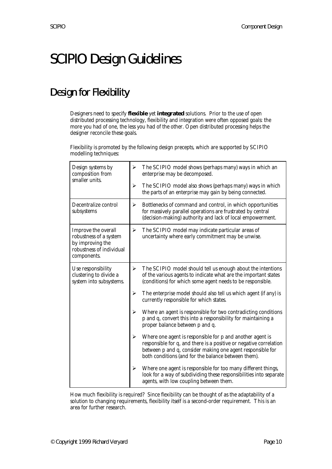## SCIPIO Design Guidelines

## Design for Flexibility

Designers need to specify **flexible** yet **integrated** solutions. Prior to the use of open distributed processing technology, flexibility and integration were often opposed goals: the more you had of one, the less you had of the other. Open distributed processing helps the designer reconcile these goals.

Flexibility is promoted by the following design precepts, which are supported by SCIPIO modelling techniques:

| Design systems by<br>composition from<br>smaller units.                                                      | ➤ | The SCIPIO model shows (perhaps many) ways in which an<br>enterprise may be decomposed.                                                                                                                                                              |
|--------------------------------------------------------------------------------------------------------------|---|------------------------------------------------------------------------------------------------------------------------------------------------------------------------------------------------------------------------------------------------------|
|                                                                                                              | ➤ | The SCIPIO model also shows (perhaps many) ways in which<br>the parts of an enterprise may gain by being connected.                                                                                                                                  |
| Decentralize control<br>subsystems                                                                           | ➤ | Bottlenecks of command and control, in which opportunities<br>for massively parallel operations are frustrated by central<br>(decision-making) authority and lack of local empowerment.                                                              |
| Improve the overall<br>robustness of a system<br>by improving the<br>robustness of individual<br>components. | ≻ | The SCIPIO model may indicate particular areas of<br>uncertainty where early commitment may be unwise.                                                                                                                                               |
| Use responsibility<br>clustering to divide a<br>system into subsystems.                                      | ➤ | The SCIPIO model should tell us enough about the intentions<br>of the various agents to indicate what are the important states<br>(conditions) for which some agent needs to be responsible.                                                         |
|                                                                                                              | ➤ | The enterprise model should also tell us which agent (if any) is<br>currently responsible for which states.                                                                                                                                          |
|                                                                                                              | ➤ | Where an agent is responsible for two contradicting conditions<br>p and q, convert this into a responsibility for maintaining a<br>proper balance between p and q.                                                                                   |
|                                                                                                              | ➤ | Where one agent is responsible for p and another agent is<br>responsible for q, and there is a positive or negative correlation<br>between p and q, consider making one agent responsible for<br>both conditions (and for the balance between them). |
|                                                                                                              | ➤ | Where one agent is responsible for too many different things,<br>look for a way of subdividing these responsibilities into separate<br>agents, with low coupling between them.                                                                       |

How much flexibility is required? Since flexibility can be thought of as the adaptability of a solution to changing requirements, flexibility itself is a second-order requirement. This is an area for further research.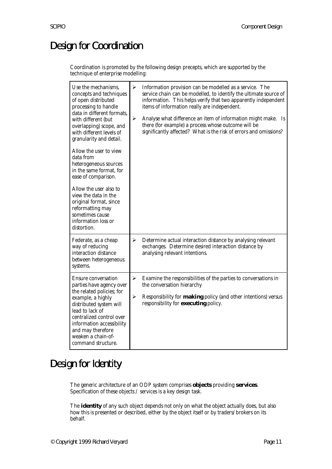## Design for Coordination

Coordination is promoted by the following design precepts, which are supported by the technique of enterprise modelling:

| Use the mechanisms,<br>concepts and techniques<br>of open distributed<br>processing to handle<br>data in different formats.<br>with different (but<br>overlapping) scope, and<br>with different levels of<br>granularity and detail.<br>Allow the user to view<br>data from<br>heterogeneous sources<br>in the same format, for<br>ease of comparison.<br>Allow the user also to<br>view the data in the<br>original format, since<br>reformatting may<br>sometimes cause<br>information loss or<br>distortion. | $\blacktriangleright$<br>$\blacktriangleright$ | Information provision can be modelled as a service. The<br>service chain can be modelled, to identify the ultimate source of<br>information. This helps verify that two apparently independent<br>items of information really are independent.<br>Analyse what difference an item of information might make. Is<br>there (for example) a process whose outcome will be<br>significantly affected? What is the risk of errors and omissions? |
|-----------------------------------------------------------------------------------------------------------------------------------------------------------------------------------------------------------------------------------------------------------------------------------------------------------------------------------------------------------------------------------------------------------------------------------------------------------------------------------------------------------------|------------------------------------------------|---------------------------------------------------------------------------------------------------------------------------------------------------------------------------------------------------------------------------------------------------------------------------------------------------------------------------------------------------------------------------------------------------------------------------------------------|
| Federate, as a cheap<br>way of reducing<br>interaction distance<br>between heterogeneous<br>systems.                                                                                                                                                                                                                                                                                                                                                                                                            | ➤                                              | Determine actual interaction distance by analysing relevant<br>exchanges. Determine desired interaction distance by<br>analysing relevant intentions.                                                                                                                                                                                                                                                                                       |
| Ensure conversation<br>parties have agency over<br>the related policies; for<br>example, a highly<br>distributed system will<br>lead to lack of<br>centralized control over<br>information accessibility<br>and may therefore<br>weaken a chain-of-<br>command structure.                                                                                                                                                                                                                                       | ➤<br>$\blacktriangleright$                     | Examine the responsibilities of the parties to conversations in<br>the conversation hierarchy<br>Responsibility for <b>making</b> policy (and other intentions) versus<br>responsibility for <b>executing</b> policy.                                                                                                                                                                                                                       |

### Design for Identity

The generic architecture of an ODP system comprises **objects** providing **services**. Specification of these objects / services is a key design task.

The **identity** of any such object depends not only on what the object actually does, but also how this is presented or described, either by the object itself or by traders/brokers on its behalf.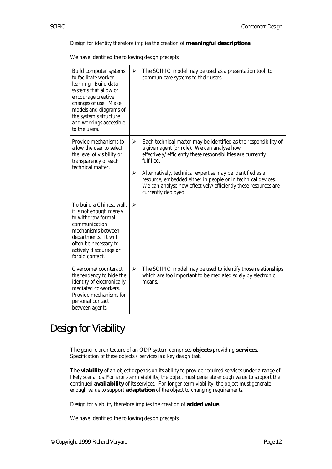Design for identity therefore implies the creation of **meaningful descriptions**.

We have identified the following design precepts:

| Build computer systems<br>to facilitate worker<br>learning. Build data<br>systems that allow or<br>encourage creative<br>changes of use. Make<br>models and diagrams of<br>the system's structure<br>and workings accessible<br>to the users. | $\blacktriangleright$ | The SCIPIO model may be used as a presentation tool, to<br>communicate systems to their users.                                                                                                                                                                                                                             |
|-----------------------------------------------------------------------------------------------------------------------------------------------------------------------------------------------------------------------------------------------|-----------------------|----------------------------------------------------------------------------------------------------------------------------------------------------------------------------------------------------------------------------------------------------------------------------------------------------------------------------|
| Provide mechanisms to<br>allow the user to select<br>the level of visibility or<br>transparency of each<br>technical matter.                                                                                                                  | ➤<br>➤                | Each technical matter may be identified as the responsibility of<br>a given agent (or role). We can analyse how<br>effectively/efficiently these responsibilities are currently<br>fulfilled.<br>Alternatively, technical expertise may be identified as a<br>resource, embedded either in people or in technical devices. |
|                                                                                                                                                                                                                                               |                       | We can analyse how effectively/efficiently these resources are<br>currently deployed.                                                                                                                                                                                                                                      |
| To build a Chinese wall,<br>it is not enough merely<br>to withdraw formal<br>communication<br>mechanisms between<br>departments. It will<br>often be necessary to<br>actively discourage or<br>forbid contact.                                | $\blacktriangleright$ |                                                                                                                                                                                                                                                                                                                            |
| Overcome/counteract<br>the tendency to hide the<br>identity of electronically<br>mediated co-workers.<br>Provide mechanisms for<br>personal contact<br>between agents.                                                                        | $\blacktriangleright$ | The SCIPIO model may be used to identify those relationships<br>which are too important to be mediated solely by electronic<br>means.                                                                                                                                                                                      |

### Design for Viability

The generic architecture of an ODP system comprises **objects** providing **services**. Specification of these objects / services is a key design task.

The **viability** of an object depends on its ability to provide required services under a range of likely scenarios. For short-term viability, the object must generate enough value to support the continued **availability** of its services. For longer-term viability, the object must generate enough value to support **adaptation** of the object to changing requirements.

Design for viability therefore implies the creation of **added value**.

We have identified the following design precepts: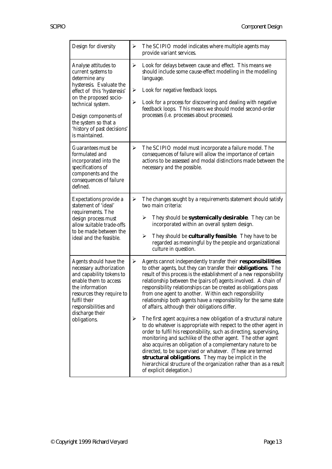| Design for diversity                                                                                                                                                                                                                                                   | ➤           | The SCIPIO model indicates where multiple agents may<br>provide variant services.                                                                                                                                                                                                                                                                                                                                                                                                                                                                               |
|------------------------------------------------------------------------------------------------------------------------------------------------------------------------------------------------------------------------------------------------------------------------|-------------|-----------------------------------------------------------------------------------------------------------------------------------------------------------------------------------------------------------------------------------------------------------------------------------------------------------------------------------------------------------------------------------------------------------------------------------------------------------------------------------------------------------------------------------------------------------------|
| Analyse attitudes to<br>current systems to<br>determine any<br>hysteresis. Evaluate the<br>effect of this 'hysteresis'<br>on the proposed socio-<br>technical system.<br>Design components of<br>the system so that a<br>'history of past decisions'<br>is maintained. | ➤<br>➤<br>➤ | Look for delays between cause and effect. This means we<br>should include some cause-effect modelling in the modelling<br>language.<br>Look for negative feedback loops.<br>Look for a process for discovering and dealing with negative<br>feedback loops. This means we should model second-order<br>processes (i.e. processes about processes).                                                                                                                                                                                                              |
| Guarantees must be<br>formulated and<br>incorporated into the<br>specifications of<br>components and the<br>consequences of failure<br>defined.                                                                                                                        | ➤           | The SCIPIO model must incorporate a failure model. The<br>consequences of failure will allow the importance of certain<br>actions to be assessed and modal distinctions made between the<br>necessary and the possible.                                                                                                                                                                                                                                                                                                                                         |
| Expectations provide a<br>statement of 'ideal'<br>requirements. The<br>design process must<br>allow suitable trade-offs<br>to be made between the<br>ideal and the feasible.                                                                                           | ≻           | The changes sought by a requirements statement should satisfy<br>two main criteria:<br>They should be <b>systemically desirable</b> . They can be<br>➤<br>incorporated within an overall system design.<br>$\blacktriangleright$<br>They should be <b>culturally feasible</b> . They have to be<br>regarded as meaningful by the people and organizational<br>culture in question.                                                                                                                                                                              |
| Agents should have the<br>necessary authorization<br>and capability tokens to<br>enable them to access<br>the information<br>resources they require to<br>fulfil their<br>responsibilities and<br>discharge their<br>obligations.                                      | ➤           | Agents cannot independently transfer their responsibilities<br>to other agents, but they can transfer their <b>obligations</b> . The<br>result of this process is the establishment of a new responsibility<br>relationship between the (pairs of) agents involved. A chain of<br>responsibility relationships can be created as obligations pass<br>from one agent to another. Within each responsibility<br>relationship both agents have a responsibility for the same state<br>of affairs, although their obligations differ.                               |
|                                                                                                                                                                                                                                                                        | ➤           | The first agent acquires a new obligation of a structural nature<br>to do whatever is appropriate with respect to the other agent in<br>order to fulfil his responsibility, such as directing, supervising,<br>monitoring and suchlike of the other agent. The other agent<br>also acquires an obligation of a complementary nature to be<br>directed, to be supervised or whatever. (These are termed<br>structural obligations. They may be implicit in the<br>hierarchical structure of the organization rather than as a result<br>of explicit delegation.) |